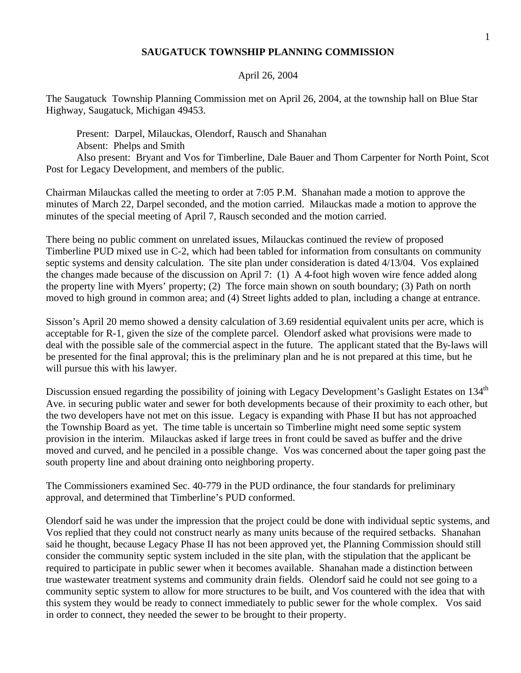## **SAUGATUCK TOWNSHIP PLANNING COMMISSION**

## April 26, 2004

The Saugatuck Township Planning Commission met on April 26, 2004, at the township hall on Blue Star Highway, Saugatuck, Michigan 49453.

Present: Darpel, Milauckas, Olendorf, Rausch and Shanahan Absent: Phelps and Smith

Also present: Bryant and Vos for Timberline, Dale Bauer and Thom Carpenter for North Point, Scot Post for Legacy Development, and members of the public.

Chairman Milauckas called the meeting to order at 7:05 P.M. Shanahan made a motion to approve the minutes of March 22, Darpel seconded, and the motion carried. Milauckas made a motion to approve the minutes of the special meeting of April 7, Rausch seconded and the motion carried.

There being no public comment on unrelated issues, Milauckas continued the review of proposed Timberline PUD mixed use in C-2, which had been tabled for information from consultants on community septic systems and density calculation. The site plan under consideration is dated 4/13/04. Vos explained the changes made because of the discussion on April 7: (1) A 4-foot high woven wire fence added along the property line with Myers' property; (2) The force main shown on south boundary; (3) Path on north moved to high ground in common area; and (4) Street lights added to plan, including a change at entrance.

Sisson's April 20 memo showed a density calculation of 3.69 residential equivalent units per acre, which is acceptable for R-1, given the size of the complete parcel. Olendorf asked what provisions were made to deal with the possible sale of the commercial aspect in the future. The applicant stated that the By-laws will be presented for the final approval; this is the preliminary plan and he is not prepared at this time, but he will pursue this with his lawyer.

Discussion ensued regarding the possibility of joining with Legacy Development's Gaslight Estates on 134<sup>th</sup> Ave. in securing public water and sewer for both developments because of their proximity to each other, but the two developers have not met on this issue. Legacy is expanding with Phase II but has not approached the Township Board as yet. The time table is uncertain so Timberline might need some septic system provision in the interim. Milauckas asked if large trees in front could be saved as buffer and the drive moved and curved, and he penciled in a possible change. Vos was concerned about the taper going past the south property line and about draining onto neighboring property.

The Commissioners examined Sec. 40-779 in the PUD ordinance, the four standards for preliminary approval, and determined that Timberline's PUD conformed.

Olendorf said he was under the impression that the project could be done with individual septic systems, and Vos replied that they could not construct nearly as many units because of the required setbacks. Shanahan said he thought, because Legacy Phase II has not been approved yet, the Planning Commission should still consider the community septic system included in the site plan, with the stipulation that the applicant be required to participate in public sewer when it becomes available. Shanahan made a distinction between true wastewater treatment systems and community drain fields. Olendorf said he could not see going to a community septic system to allow for more structures to be built, and Vos countered with the idea that with this system they would be ready to connect immediately to public sewer for the whole complex. Vos said in order to connect, they needed the sewer to be brought to their property.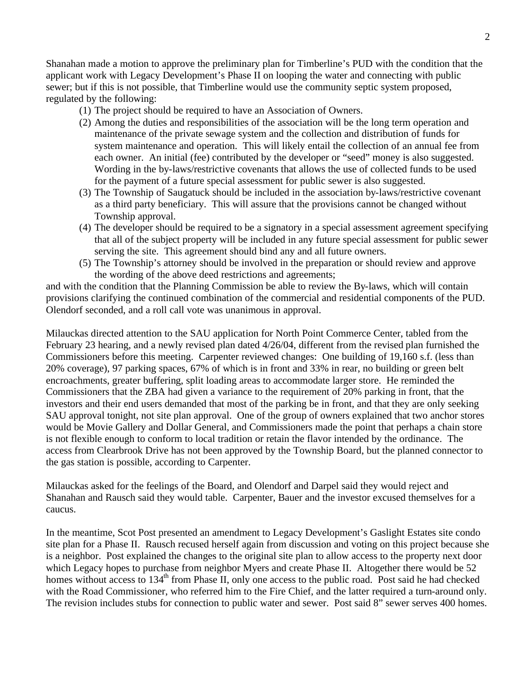Shanahan made a motion to approve the preliminary plan for Timberline's PUD with the condition that the applicant work with Legacy Development's Phase II on looping the water and connecting with public sewer; but if this is not possible, that Timberline would use the community septic system proposed, regulated by the following:

- (1) The project should be required to have an Association of Owners.
- (2) Among the duties and responsibilities of the association will be the long term operation and maintenance of the private sewage system and the collection and distribution of funds for system maintenance and operation. This will likely entail the collection of an annual fee from each owner. An initial (fee) contributed by the developer or "seed" money is also suggested. Wording in the by-laws/restrictive covenants that allows the use of collected funds to be used for the payment of a future special assessment for public sewer is also suggested.
- (3) The Township of Saugatuck should be included in the association by-laws/restrictive covenant as a third party beneficiary. This will assure that the provisions cannot be changed without Township approval.
- (4) The developer should be required to be a signatory in a special assessment agreement specifying that all of the subject property will be included in any future special assessment for public sewer serving the site. This agreement should bind any and all future owners.
- (5) The Township's attorney should be involved in the preparation or should review and approve the wording of the above deed restrictions and agreements;

and with the condition that the Planning Commission be able to review the By-laws, which will contain provisions clarifying the continued combination of the commercial and residential components of the PUD. Olendorf seconded, and a roll call vote was unanimous in approval.

Milauckas directed attention to the SAU application for North Point Commerce Center, tabled from the February 23 hearing, and a newly revised plan dated 4/26/04, different from the revised plan furnished the Commissioners before this meeting. Carpenter reviewed changes: One building of 19,160 s.f. (less than 20% coverage), 97 parking spaces, 67% of which is in front and 33% in rear, no building or green belt encroachments, greater buffering, split loading areas to accommodate larger store. He reminded the Commissioners that the ZBA had given a variance to the requirement of 20% parking in front, that the investors and their end users demanded that most of the parking be in front, and that they are only seeking SAU approval tonight, not site plan approval. One of the group of owners explained that two anchor stores would be Movie Gallery and Dollar General, and Commissioners made the point that perhaps a chain store is not flexible enough to conform to local tradition or retain the flavor intended by the ordinance. The access from Clearbrook Drive has not been approved by the Township Board, but the planned connector to the gas station is possible, according to Carpenter.

Milauckas asked for the feelings of the Board, and Olendorf and Darpel said they would reject and Shanahan and Rausch said they would table. Carpenter, Bauer and the investor excused themselves for a caucus.

In the meantime, Scot Post presented an amendment to Legacy Development's Gaslight Estates site condo site plan for a Phase II. Rausch recused herself again from discussion and voting on this project because she is a neighbor. Post explained the changes to the original site plan to allow access to the property next door which Legacy hopes to purchase from neighbor Myers and create Phase II. Altogether there would be 52 homes without access to 134<sup>th</sup> from Phase II, only one access to the public road. Post said he had checked with the Road Commissioner, who referred him to the Fire Chief, and the latter required a turn-around only. The revision includes stubs for connection to public water and sewer. Post said 8" sewer serves 400 homes.